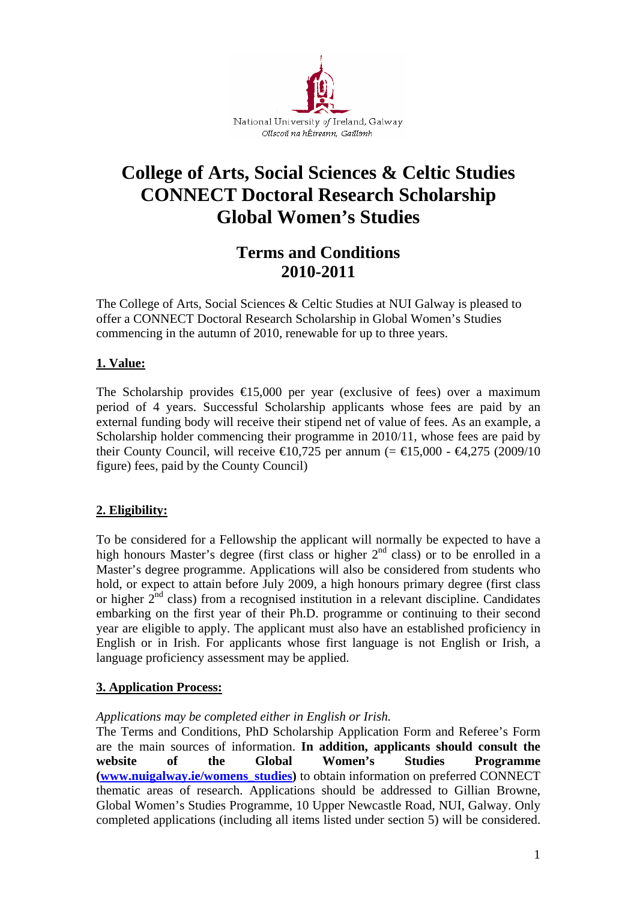

# **College of Arts, Social Sciences & Celtic Studies CONNECT Doctoral Research Scholarship Global Women's Studies**

# **Terms and Conditions 2010-2011**

The College of Arts, Social Sciences & Celtic Studies at NUI Galway is pleased to offer a CONNECT Doctoral Research Scholarship in Global Women's Studies commencing in the autumn of 2010, renewable for up to three years.

#### **1. Value:**

The Scholarship provides  $\epsilon$ 15,000 per year (exclusive of fees) over a maximum period of 4 years. Successful Scholarship applicants whose fees are paid by an external funding body will receive their stipend net of value of fees. As an example, a Scholarship holder commencing their programme in 2010/11, whose fees are paid by their County Council, will receive  $\in 0.725$  per annum (=  $\in 5,000$  -  $\in 4,275$  (2009/10) figure) fees, paid by the County Council)

# **2. Eligibility:**

To be considered for a Fellowship the applicant will normally be expected to have a high honours Master's degree (first class or higher  $2<sup>nd</sup>$  class) or to be enrolled in a Master's degree programme. Applications will also be considered from students who hold, or expect to attain before July 2009, a high honours primary degree (first class or higher  $2<sup>nd</sup>$  class) from a recognised institution in a relevant discipline. Candidates embarking on the first year of their Ph.D. programme or continuing to their second year are eligible to apply. The applicant must also have an established proficiency in English or in Irish. For applicants whose first language is not English or Irish, a language proficiency assessment may be applied.

#### **3. Application Process:**

#### *Applications may be completed either in English or Irish.*

The Terms and Conditions, PhD Scholarship Application Form and Referee's Form are the main sources of information. **In addition, applicants should consult the website of the Global Women's Studies Programme ([www.nuigalway.ie/womens\\_studies](http://www.nuigalway.ie/womens_studies))** to obtain information on preferred CONNECT thematic areas of research. Applications should be addressed to Gillian Browne, Global Women's Studies Programme, 10 Upper Newcastle Road, NUI, Galway. Only completed applications (including all items listed under section 5) will be considered.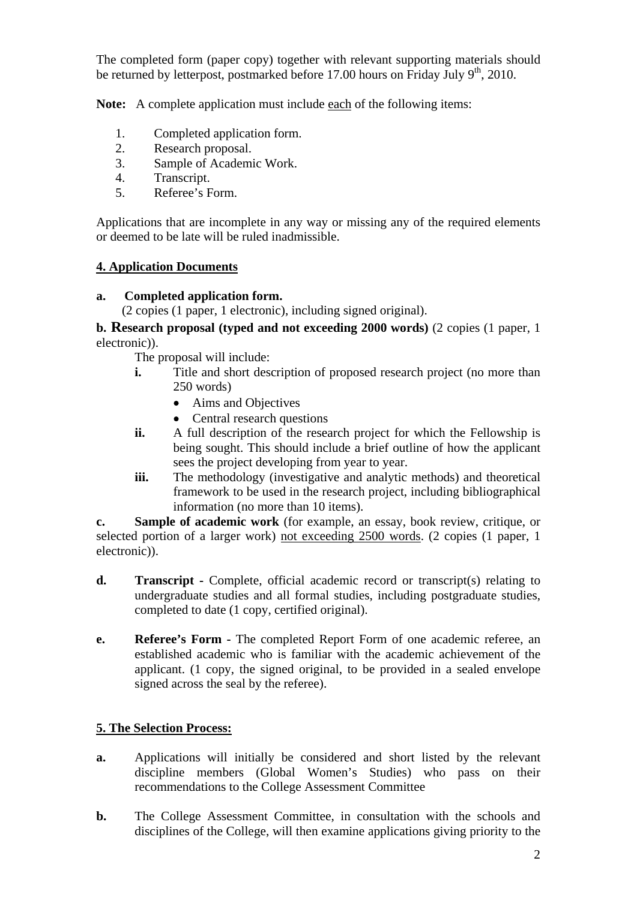The completed form (paper copy) together with relevant supporting materials should be returned by letterpost, postmarked before 17.00 hours on Friday July  $9<sup>th</sup>$ , 2010.

**Note:** A complete application must include each of the following items:

- 1. Completed application form.
- 2. Research proposal.
- 3. Sample of Academic Work.
- 4. Transcript.
- 5. Referee's Form.

Applications that are incomplete in any way or missing any of the required elements or deemed to be late will be ruled inadmissible.

#### **4. Application Documents**

# **a.****Completed application form.**

(2 copies (1 paper, 1 electronic), including signed original).

**b. Research proposal (typed and not exceeding 2000 words)** (2 copies (1 paper, 1 electronic)).

The proposal will include:

- **i.** Title and short description of proposed research project (no more than 250 words)
	- Aims and Objectives
	- Central research questions
- **ii.** A full description of the research project for which the Fellowship is being sought. This should include a brief outline of how the applicant sees the project developing from year to year.
- **iii.** The methodology (investigative and analytic methods) and theoretical framework to be used in the research project, including bibliographical information (no more than 10 items).

**c. Sample of academic work** (for example, an essay, book review, critique, or selected portion of a larger work) not exceeding 2500 words. (2 copies (1 paper, 1 electronic)).

- **d.** Transcript Complete, official academic record or transcript(s) relating to undergraduate studies and all formal studies, including postgraduate studies, completed to date (1 copy, certified original).
- **e. Referee's Form** The completed Report Form of one academic referee, an established academic who is familiar with the academic achievement of the applicant. (1 copy, the signed original, to be provided in a sealed envelope signed across the seal by the referee).

# **5. The Selection Process:**

- **a.** Applications will initially be considered and short listed by the relevant discipline members (Global Women's Studies) who pass on their recommendations to the College Assessment Committee
- **b.** The College Assessment Committee, in consultation with the schools and disciplines of the College, will then examine applications giving priority to the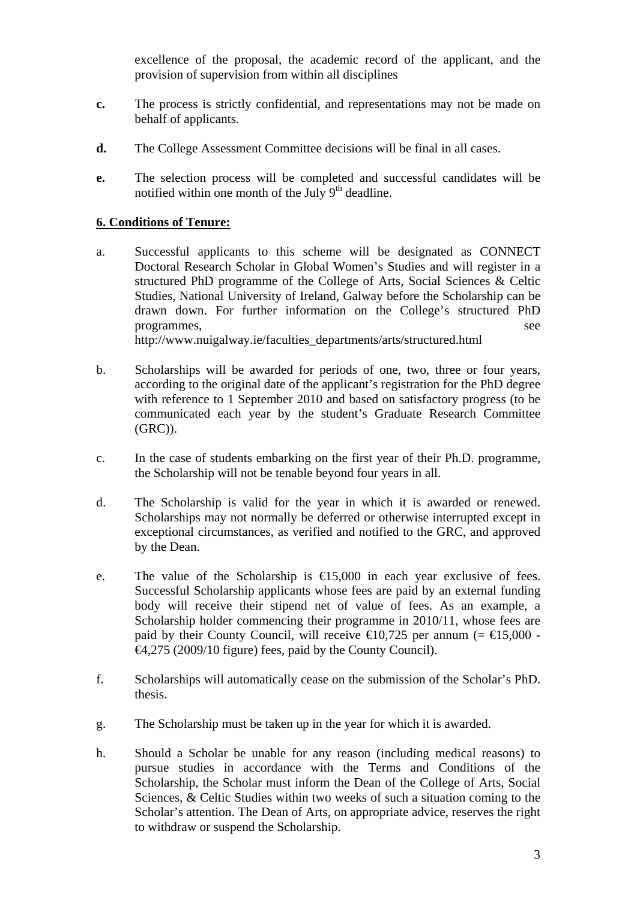excellence of the proposal, the academic record of the applicant, and the provision of supervision from within all disciplines

- **c.** The process is strictly confidential, and representations may not be made on behalf of applicants.
- **d.** The College Assessment Committee decisions will be final in all cases.
- **e.** The selection process will be completed and successful candidates will be notified within one month of the July  $9<sup>th</sup>$  deadline.

#### **6. Conditions of Tenure:**

- a. Successful applicants to this scheme will be designated as CONNECT Doctoral Research Scholar in Global Women's Studies and will register in a structured PhD programme of the College of Arts, Social Sciences & Celtic Studies, National University of Ireland, Galway before the Scholarship can be drawn down. For further information on the College's structured PhD programmes, see http://www.nuigalway.ie/faculties\_departments/arts/structured.html
- b. Scholarships will be awarded for periods of one, two, three or four years, according to the original date of the applicant's registration for the PhD degree with reference to 1 September 2010 and based on satisfactory progress (to be communicated each year by the student's Graduate Research Committee (GRC)).
- c. In the case of students embarking on the first year of their Ph.D. programme, the Scholarship will not be tenable beyond four years in all.
- d. The Scholarship is valid for the year in which it is awarded or renewed. Scholarships may not normally be deferred or otherwise interrupted except in exceptional circumstances, as verified and notified to the GRC, and approved by the Dean.
- e. The value of the Scholarship is  $\epsilon$ 15,000 in each year exclusive of fees. Successful Scholarship applicants whose fees are paid by an external funding body will receive their stipend net of value of fees. As an example, a Scholarship holder commencing their programme in 2010/11, whose fees are paid by their County Council, will receive  $\in 0.725$  per annum (=  $\in 5,000$  -€4,275 (2009/10 figure) fees, paid by the County Council).
- f. Scholarships will automatically cease on the submission of the Scholar's PhD. thesis.
- g. The Scholarship must be taken up in the year for which it is awarded.
- h. Should a Scholar be unable for any reason (including medical reasons) to pursue studies in accordance with the Terms and Conditions of the Scholarship, the Scholar must inform the Dean of the College of Arts, Social Sciences, & Celtic Studies within two weeks of such a situation coming to the Scholar's attention. The Dean of Arts, on appropriate advice, reserves the right to withdraw or suspend the Scholarship.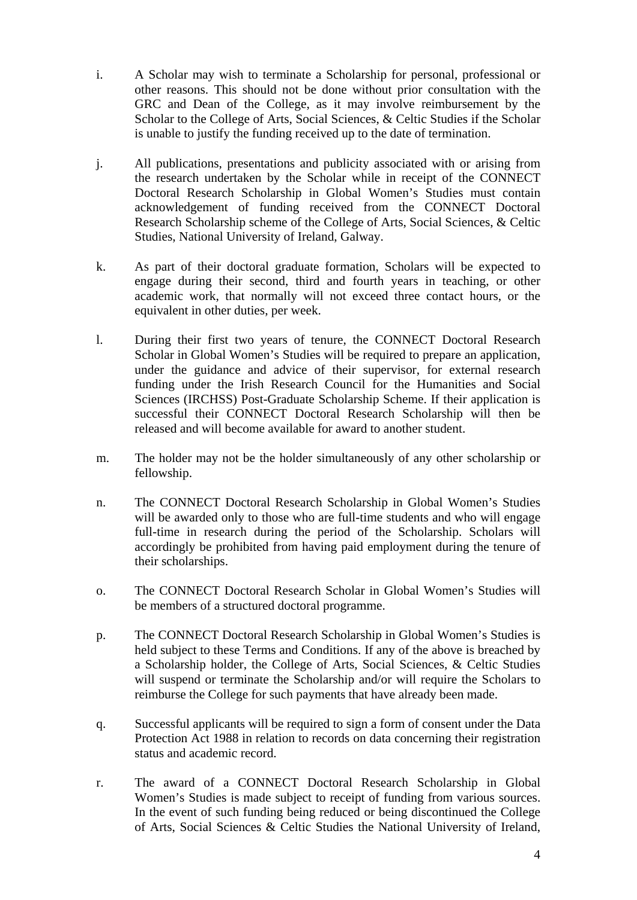- i. A Scholar may wish to terminate a Scholarship for personal, professional or other reasons. This should not be done without prior consultation with the GRC and Dean of the College, as it may involve reimbursement by the Scholar to the College of Arts, Social Sciences, & Celtic Studies if the Scholar is unable to justify the funding received up to the date of termination.
- j. All publications, presentations and publicity associated with or arising from the research undertaken by the Scholar while in receipt of the CONNECT Doctoral Research Scholarship in Global Women's Studies must contain acknowledgement of funding received from the CONNECT Doctoral Research Scholarship scheme of the College of Arts, Social Sciences, & Celtic Studies, National University of Ireland, Galway.
- k. As part of their doctoral graduate formation, Scholars will be expected to engage during their second, third and fourth years in teaching, or other academic work, that normally will not exceed three contact hours, or the equivalent in other duties, per week.
- l. During their first two years of tenure, the CONNECT Doctoral Research Scholar in Global Women's Studies will be required to prepare an application, under the guidance and advice of their supervisor, for external research funding under the Irish Research Council for the Humanities and Social Sciences (IRCHSS) Post-Graduate Scholarship Scheme. If their application is successful their CONNECT Doctoral Research Scholarship will then be released and will become available for award to another student.
- m. The holder may not be the holder simultaneously of any other scholarship or fellowship.
- n. The CONNECT Doctoral Research Scholarship in Global Women's Studies will be awarded only to those who are full-time students and who will engage full-time in research during the period of the Scholarship. Scholars will accordingly be prohibited from having paid employment during the tenure of their scholarships.
- o. The CONNECT Doctoral Research Scholar in Global Women's Studies will be members of a structured doctoral programme.
- p. The CONNECT Doctoral Research Scholarship in Global Women's Studies is held subject to these Terms and Conditions. If any of the above is breached by a Scholarship holder, the College of Arts, Social Sciences, & Celtic Studies will suspend or terminate the Scholarship and/or will require the Scholars to reimburse the College for such payments that have already been made.
- q. Successful applicants will be required to sign a form of consent under the Data Protection Act 1988 in relation to records on data concerning their registration status and academic record.
- r. The award of a CONNECT Doctoral Research Scholarship in Global Women's Studies is made subject to receipt of funding from various sources. In the event of such funding being reduced or being discontinued the College of Arts, Social Sciences & Celtic Studies the National University of Ireland,